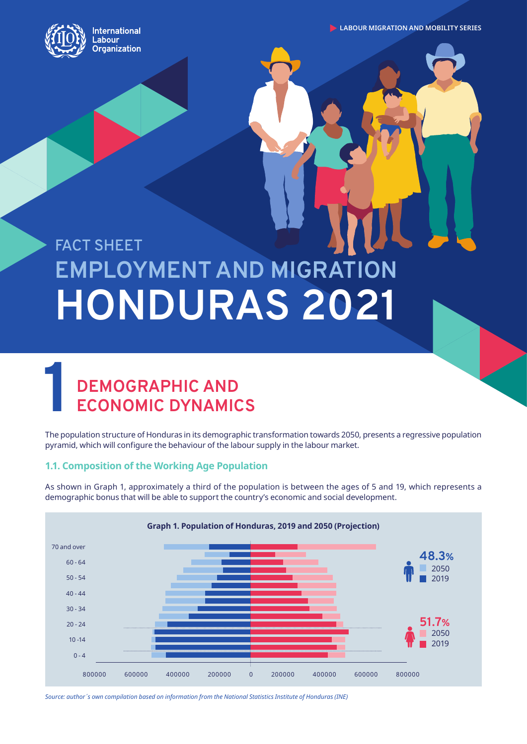

**LABOUR MIGRATION AND MOBILITY SERIES** 

# **EMPLOYMENT AND MIGRATION HONDURAS 2021 FACT SHEET**

# **1 DEMOGRAPHIC AND ECONOMIC DYNAMIC ECONOMIC DYNAMICS**

The population structure of Honduras in its demographic transformation towards 2050, presents a regressive population pyramid, which will configure the behaviour of the labour supply in the labour market.

## **1.1. Composition of the Working Age Population**

As shown in Graph 1, approximately a third of the population is between the ages of 5 and 19, which represents a demographic bonus that will be able to support the country's economic and social development.



*Source: author´s own compilation based on information from the National Statistics Institute of Honduras (INE)*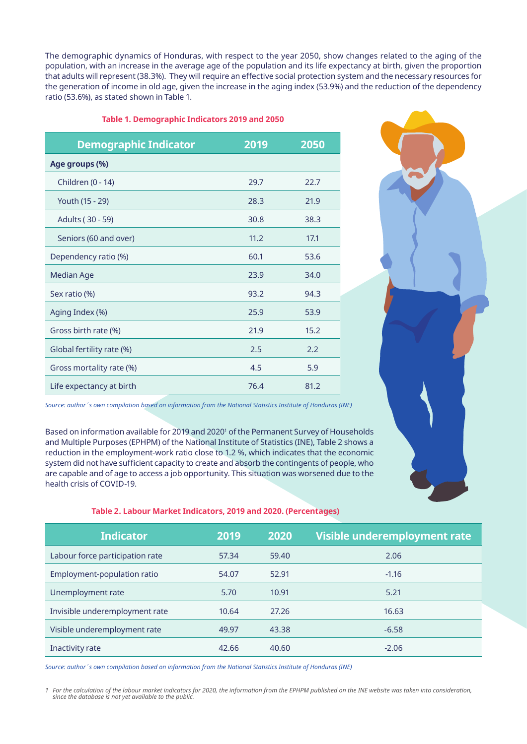The demographic dynamics of Honduras, with respect to the year 2050, show changes related to the aging of the population, with an increase in the average age of the population and its life expectancy at birth, given the proportion that adults will represent (38.3%). They will require an effective social protection system and the necessary resources for the generation of income in old age, given the increase in the aging index (53.9%) and the reduction of the dependency ratio (53.6%), as stated shown in Table 1.

| <b>Demographic Indicator</b> | 2019 | 2050 |
|------------------------------|------|------|
| Age groups (%)               |      |      |
| Children (0 - 14)            | 29.7 | 22.7 |
| Youth (15 - 29)              | 28.3 | 21.9 |
| Adults (30 - 59)             | 30.8 | 38.3 |
| Seniors (60 and over)        | 11.2 | 17.1 |
| Dependency ratio (%)         | 60.1 | 53.6 |
| <b>Median Age</b>            | 23.9 | 34.0 |
| Sex ratio (%)                | 93.2 | 94.3 |
| Aging Index (%)              | 25.9 | 53.9 |
| Gross birth rate (%)         | 21.9 | 15.2 |
| Global fertility rate (%)    | 2.5  | 2.2  |
| Gross mortality rate (%)     | 4.5  | 5.9  |
| Life expectancy at birth     | 76.4 | 81.2 |



*Source: author´s own compilation based on information from the National Statistics Institute of Honduras (INE)*

Based on information available for 2019 and 2020<sup>1</sup> of the Permanent Survey of Households and Multiple Purposes (EPHPM) of the National Institute of Statistics (INE), Table 2 shows a reduction in the employment-work ratio close to 1.2 %, which indicates that the economic system did not have sufficient capacity to create and absorb the contingents of people, who are capable and of age to access a job opportunity. This situation was worsened due to the health crisis of COVID-19.

#### **Table 2. Labour Market Indicators, 2019 and 2020. (Percentages)**

| <b>Indicator</b>                | 2019  | 2020  | Visible underemployment rate |
|---------------------------------|-------|-------|------------------------------|
| Labour force participation rate | 57.34 | 59.40 | 2.06                         |
| Employment-population ratio     | 54.07 | 52.91 | $-1.16$                      |
| Unemployment rate               | 5.70  | 10.91 | 5.21                         |
| Invisible underemployment rate  | 10.64 | 27.26 | 16.63                        |
| Visible underemployment rate    | 49.97 | 43.38 | $-6.58$                      |
| Inactivity rate                 | 42.66 | 40.60 | $-2.06$                      |

*Source: author´s own compilation based on information from the National Statistics Institute of Honduras (INE)*

1 For the calculation of the labour market indicators for 2020, the information from the EPHPM published on the INE website was taken into consideration,<br>since the database is not yet available to the public.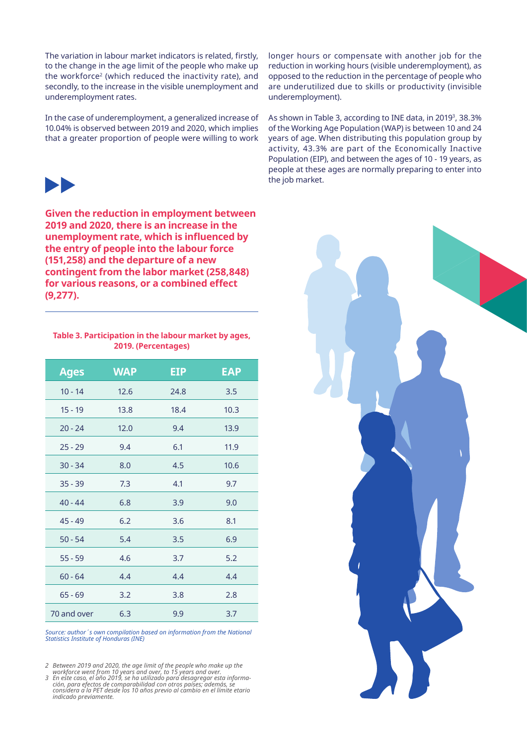The variation in labour market indicators is related, firstly, to the change in the age limit of the people who make up the workforce2 (which reduced the inactivity rate), and secondly, to the increase in the visible unemployment and underemployment rates.

In the case of underemployment, a generalized increase of 10.04% is observed between 2019 and 2020, which implies that a greater proportion of people were willing to work



**Given the reduction in employment between 2019 and 2020, there is an increase in the unemployment rate, which is influenced by the entry of people into the labour force (151,258) and the departure of a new contingent from the labor market (258,848) for various reasons, or a combined effect (9,277).**

**Table 3. Participation in the labour market by ages, 2019. (Percentages)** 

| <b>Ages</b> | <b>WAP</b> | EIP  | <b>EAP</b> |
|-------------|------------|------|------------|
| $10 - 14$   | 12.6       | 24.8 | 3.5        |
| $15 - 19$   | 13.8       | 18.4 | 10.3       |
| $20 - 24$   | 12.0       | 9.4  | 13.9       |
| $25 - 29$   | 9.4        | 6.1  | 11.9       |
| $30 - 34$   | 8.0        | 4.5  | 10.6       |
| $35 - 39$   | 7.3        | 4.1  | 9.7        |
| $40 - 44$   | 6.8        | 3.9  | 9.0        |
| $45 - 49$   | 6.2        | 3.6  | 8.1        |
| $50 - 54$   | 5.4        | 3.5  | 6.9        |
| $55 - 59$   | 4.6        | 3.7  | 5.2        |
| $60 - 64$   | 4.4        | 4.4  | 4.4        |
| $65 - 69$   | 3.2        | 3.8  | 2.8        |
| 70 and over | 6.3        | 9.9  | 3.7        |

*Source: author´s own compilation based on information from the National Statistics Institute of Honduras (INE)*

2 Between 2019 and 2020, the age limit of the people who make up the<br>workforce went from 10 years and over, to 15 years and over.<br>3 En este caso, el año 2019, se ha utilizado para desagregar esta informa-<br>ión, para efectos *considera a la PET desde los 10 años previo al cambio en el límite etario indicado previamente.* longer hours or compensate with another job for the reduction in working hours (visible underemployment), as opposed to the reduction in the percentage of people who are underutilized due to skills or productivity (invisible underemployment).

As shown in Table 3, according to INE data, in 20193, 38.3% of the Working Age Population (WAP) is between 10 and 24 years of age. When distributing this population group by activity, 43.3% are part of the Economically Inactive Population (EIP), and between the ages of 10 - 19 years, as people at these ages are normally preparing to enter into the job market.

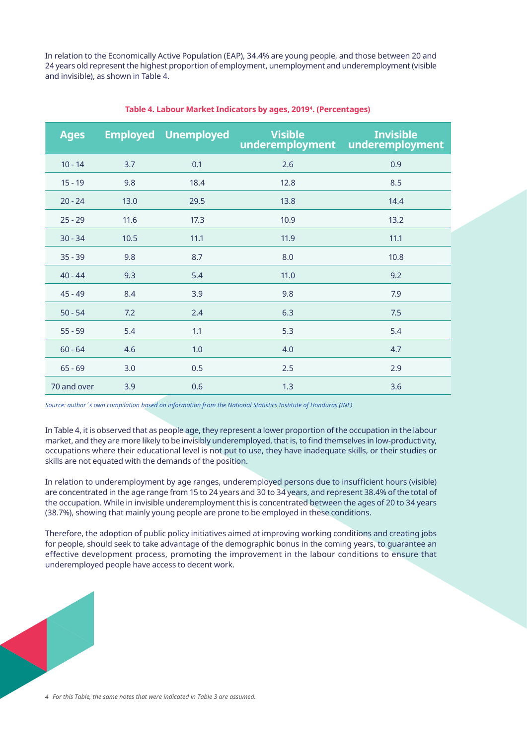In relation to the Economically Active Population (EAP), 34.4% are young people, and those between 20 and 24 years old represent the highest proportion of employment, unemployment and underemployment (visible and invisible), as shown in Table 4.

| <b>Ages</b> |      | <b>Employed Unemployed</b> | <b>Visible</b><br>underemployment | <b>Invisible</b><br>underemployment |
|-------------|------|----------------------------|-----------------------------------|-------------------------------------|
| $10 - 14$   | 3.7  | 0.1                        | 2.6                               | 0.9                                 |
| $15 - 19$   | 9.8  | 18.4                       | 12.8                              | 8.5                                 |
| $20 - 24$   | 13.0 | 29.5                       | 13.8                              | 14.4                                |
| $25 - 29$   | 11.6 | 17.3                       | 10.9                              | 13.2                                |
| $30 - 34$   | 10.5 | 11.1                       | 11.9                              | 11.1                                |
| $35 - 39$   | 9.8  | 8.7                        | 8.0                               | 10.8                                |
| $40 - 44$   | 9.3  | 5.4                        | 11.0                              | 9.2                                 |
| $45 - 49$   | 8.4  | 3.9                        | 9.8                               | 7.9                                 |
| $50 - 54$   | 7.2  | 2.4                        | 6.3                               | 7.5                                 |
| $55 - 59$   | 5.4  | 1.1                        | 5.3                               | 5.4                                 |
| $60 - 64$   | 4.6  | 1.0                        | 4.0                               | 4.7                                 |
| $65 - 69$   | 3.0  | 0.5                        | 2.5                               | 2.9                                 |
| 70 and over | 3.9  | 0.6                        | 1.3                               | 3.6                                 |

#### **Table 4. Labour Market Indicators by ages, 20194. (Percentages)**

*Source: author´s own compilation based on information from the National Statistics Institute of Honduras (INE)*

In Table 4, it is observed that as people age, they represent a lower proportion of the occupation in the labour market, and they are more likely to be invisibly underemployed, that is, to find themselves in low-productivity, occupations where their educational level is not put to use, they have inadequate skills, or their studies or skills are not equated with the demands of the position.

In relation to underemployment by age ranges, underemployed persons due to insufficient hours (visible) are concentrated in the age range from 15 to 24 years and 30 to 34 years, and represent 38.4% of the total of the occupation. While in invisible underemployment this is concentrated between the ages of 20 to 34 years (38.7%), showing that mainly young people are prone to be employed in these conditions.

Therefore, the adoption of public policy initiatives aimed at improving working conditions and creating jobs for people, should seek to take advantage of the demographic bonus in the coming years, to guarantee an effective development process, promoting the improvement in the labour conditions to ensure that underemployed people have access to decent work.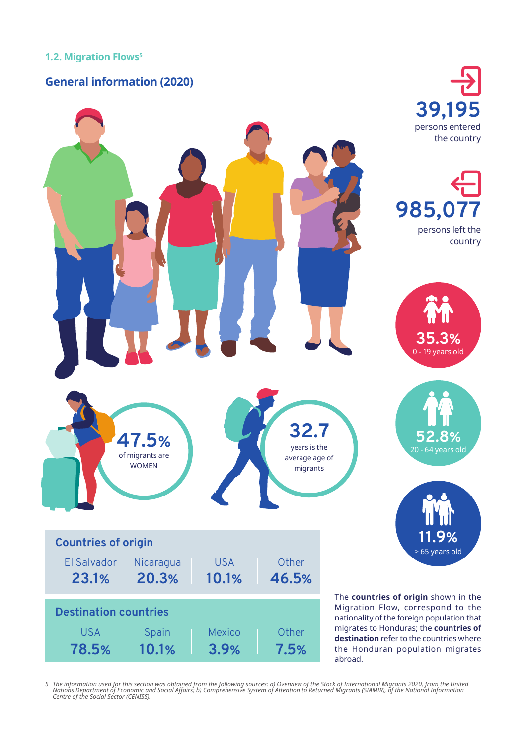**78.5%**

**10.1%**

## **General information (2020)**



5 The information used for this section was obtained from the following sources: a) Overview of the Stock of International Migrants 2020, from the United<br>Nations Department of Economic and Social Affairs; b) Comprehensive

**3.9%**

**7.5%**

abroad.

the Honduran population migrates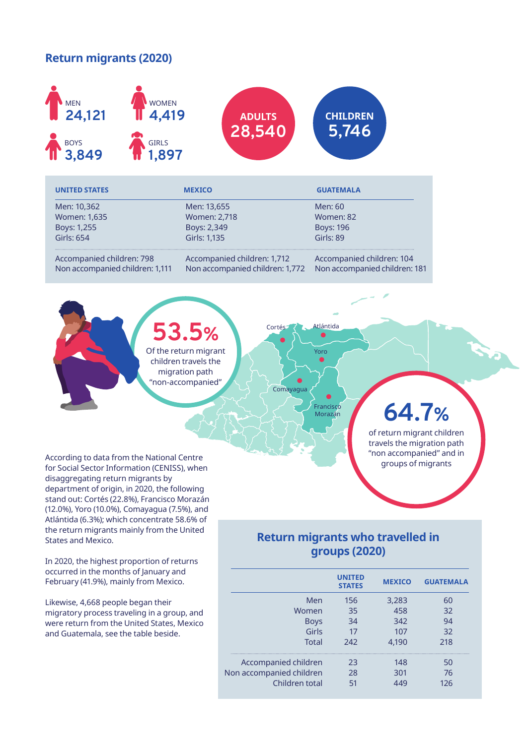## **Return migrants (2020)**



| <b>UNITED STATES</b>            | <b>MEXICO</b>                   | <b>GUATEMALA</b>              |
|---------------------------------|---------------------------------|-------------------------------|
| Men: 10,362                     | Men: 13,655                     | Men: 60                       |
| Women: 1,635                    | Women: 2,718                    | Women: 82                     |
| Boys: 1,255                     | Boys: 2,349                     | <b>Boys: 196</b>              |
| <b>Girls: 654</b>               | Girls: 1,135                    | Girls: 89                     |
| Accompanied children: 798       | Accompanied children: 1,712     | Accompanied children: 104     |
| Non accompanied children: 1,111 | Non accompanied children: 1,772 | Non accompanied children: 181 |

Cortés

Comayagua

**53.5%** Of the return migrant children travels the migration path "non-accompanied"

**64.7%**

of return migrant children travels the migration path "non accompanied" and in groups of migrants

According to data from the National Centre for Social Sector Information (CENISS), when disaggregating return migrants by department of origin, in 2020, the following stand out: Cortés (22.8%), Francisco Morazán (12.0%), Yoro (10.0%), Comayagua (7.5%), and Atlántida (6.3%); which concentrate 58.6% of the return migrants mainly from the United States and Mexico.

In 2020, the highest proportion of returns occurred in the months of January and February (41.9%), mainly from Mexico.

Likewise, 4,668 people began their migratory process traveling in a group, and were return from the United States, Mexico and Guatemala, see the table beside.

## **Return migrants who travelled in groups (2020)**

Francisco Morazán

Yoro

|                          | <b>UNITED</b><br><b>STATES</b> | <b>MEXICO</b> | <b>GUATEMALA</b> |
|--------------------------|--------------------------------|---------------|------------------|
| Men                      | 156                            | 3,283         | 60               |
| Women                    | 35                             | 458           | 32               |
| <b>Boys</b>              | 34                             | 342           | 94               |
| Girls                    | 17                             | 107           | 32               |
| <b>Total</b>             | 242                            | 4,190         | 218              |
| Accompanied children     | 23                             | 148           | 50               |
| Non accompanied children | 28                             | 301           | 76               |
| Children total           | 51                             | 449           | 126              |
|                          |                                |               |                  |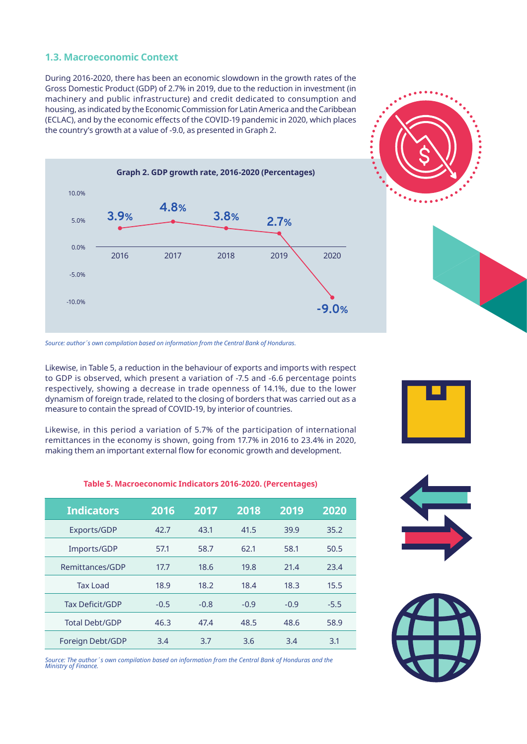### **1.3. Macroeconomic Context**

During 2016-2020, there has been an economic slowdown in the growth rates of the Gross Domestic Product (GDP) of 2.7% in 2019, due to the reduction in investment (in machinery and public infrastructure) and credit dedicated to consumption and housing, as indicated by the Economic Commission for Latin America and the Caribbean (ECLAC), and by the economic effects of the COVID-19 pandemic in 2020, which places the country's growth at a value of -9.0, as presented in Graph 2.



*Source: author´s own compilation based on information from the Central Bank of Honduras.*

Likewise, in Table 5, a reduction in the behaviour of exports and imports with respect to GDP is observed, which present a variation of -7.5 and -6.6 percentage points respectively, showing a decrease in trade openness of 14.1%, due to the lower dynamism of foreign trade, related to the closing of borders that was carried out as a measure to contain the spread of COVID-19, by interior of countries.

Likewise, in this period a variation of 5.7% of the participation of international remittances in the economy is shown, going from 17.7% in 2016 to 23.4% in 2020, making them an important external flow for economic growth and development.

#### **Table 5. Macroeconomic Indicators 2016-2020. (Percentages)**

| <b>Indicators</b>      | 2016   | 2017   | 2018   | 2019   | 2020   |
|------------------------|--------|--------|--------|--------|--------|
| Exports/GDP            | 42.7   | 43.1   | 41.5   | 39.9   | 35.2   |
| Imports/GDP            | 57.1   | 58.7   | 62.1   | 58.1   | 50.5   |
| Remittances/GDP        | 17.7   | 18.6   | 19.8   | 21.4   | 23.4   |
| Tax Load               | 18.9   | 18.2   | 18.4   | 18.3   | 15.5   |
| <b>Tax Deficit/GDP</b> | $-0.5$ | $-0.8$ | $-0.9$ | $-0.9$ | $-5.5$ |
| <b>Total Debt/GDP</b>  | 46.3   | 47.4   | 48.5   | 48.6   | 58.9   |
| Foreign Debt/GDP       | 3.4    | 3.7    | 3.6    | 3.4    | 3.1    |

*Source: The author´s own compilation based on information from the Central Bank of Honduras and the Ministry of Finance.*







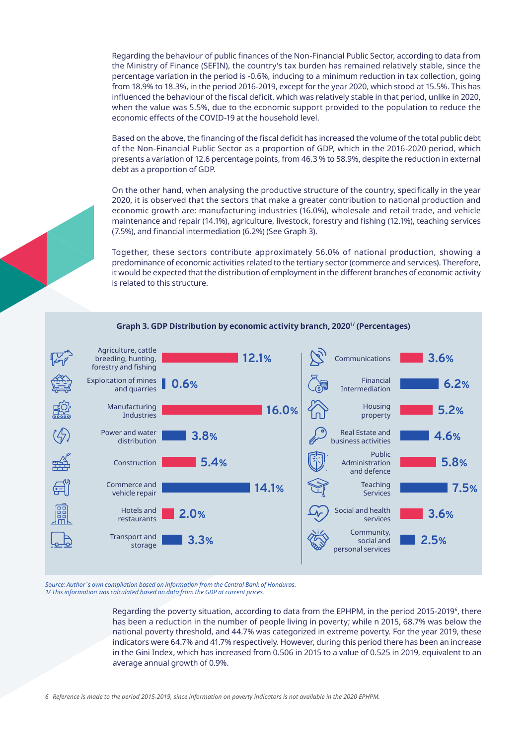Regarding the behaviour of public finances of the Non-Financial Public Sector, according to data from the Ministry of Finance (SEFIN), the country's tax burden has remained relatively stable, since the percentage variation in the period is -0.6%, inducing to a minimum reduction in tax collection, going from 18.9% to 18.3%, in the period 2016-2019, except for the year 2020, which stood at 15.5%. This has influenced the behaviour of the fiscal deficit, which was relatively stable in that period, unlike in 2020, when the value was 5.5%, due to the economic support provided to the population to reduce the economic effects of the COVID-19 at the household level.

Based on the above, the financing of the fiscal deficit has increased the volume of the total public debt of the Non-Financial Public Sector as a proportion of GDP, which in the 2016-2020 period, which presents a variation of 12.6 percentage points, from 46.3 % to 58.9%, despite the reduction in external debt as a proportion of GDP.

On the other hand, when analysing the productive structure of the country, specifically in the year 2020, it is observed that the sectors that make a greater contribution to national production and economic growth are: manufacturing industries (16.0%), wholesale and retail trade, and vehicle maintenance and repair (14.1%), agriculture, livestock, forestry and fishing (12.1%), teaching services (7.5%), and financial intermediation (6.2%) (See Graph 3).

Together, these sectors contribute approximately 56.0% of national production, showing a predominance of economic activities related to the tertiary sector (commerce and services). Therefore, it would be expected that the distribution of employment in the different branches of economic activity is related to this structure.



**Graph 3. GDP Distribution by economic activity branch, 20201/ (Percentages)**

*Source: Author´s own compilation based on information from the Central Bank of Honduras. 1/ This information was calculated based on data from the GDP at current prices.*

> Regarding the poverty situation, according to data from the EPHPM, in the period 2015-20196, there has been a reduction in the number of people living in poverty; while n 2015, 68.7% was below the national poverty threshold, and 44.7% was categorized in extreme poverty. For the year 2019, these indicators were 64.7% and 41.7% respectively. However, during this period there has been an increase in the Gini Index, which has increased from 0.506 in 2015 to a value of 0.525 in 2019, equivalent to an average annual growth of 0.9%.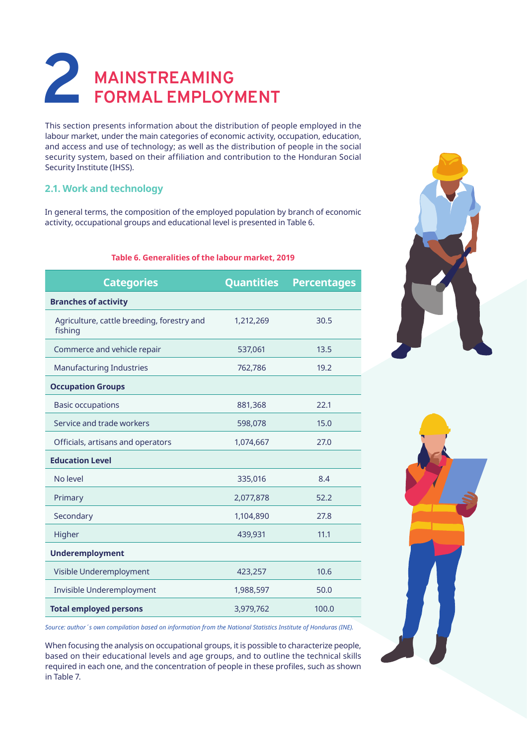# **2 MAINSTREAMING FORMAL EMPLOYMENT**

This section presents information about the distribution of people employed in the labour market, under the main categories of economic activity, occupation, education, and access and use of technology; as well as the distribution of people in the social security system, based on their affiliation and contribution to the Honduran Social Security Institute (IHSS).

## **2.1. Work and technology**

In general terms, the composition of the employed population by branch of economic activity, occupational groups and educational level is presented in Table 6.

#### **Table 6. Generalities of the labour market, 2019**

| <b>Categories</b>                                     | <b>Quantities</b> | <b>Percentages</b> |
|-------------------------------------------------------|-------------------|--------------------|
| <b>Branches of activity</b>                           |                   |                    |
| Agriculture, cattle breeding, forestry and<br>fishing | 1,212,269         | 30.5               |
| Commerce and vehicle repair                           | 537,061           | 13.5               |
| <b>Manufacturing Industries</b>                       | 762,786           | 19.2               |
| <b>Occupation Groups</b>                              |                   |                    |
| <b>Basic occupations</b>                              | 881,368           | 22.1               |
| Service and trade workers                             | 598,078           | 15.0               |
| Officials, artisans and operators                     | 1,074,667         | 27.0               |
| <b>Education Level</b>                                |                   |                    |
| No level                                              | 335,016           | 8.4                |
| Primary                                               | 2,077,878         | 52.2               |
| Secondary                                             | 1,104,890         | 27.8               |
| Higher                                                | 439,931           | 11.1               |
| <b>Underemployment</b>                                |                   |                    |
| Visible Underemployment                               | 423,257           | 10.6               |
| Invisible Underemployment                             | 1,988,597         | 50.0               |
| <b>Total employed persons</b>                         | 3,979,762         | 100.0              |

*Source: author´s own compilation based on information from the National Statistics Institute of Honduras (INE).*

When focusing the analysis on occupational groups, it is possible to characterize people, based on their educational levels and age groups, and to outline the technical skills required in each one, and the concentration of people in these profiles, such as shown in Table 7.



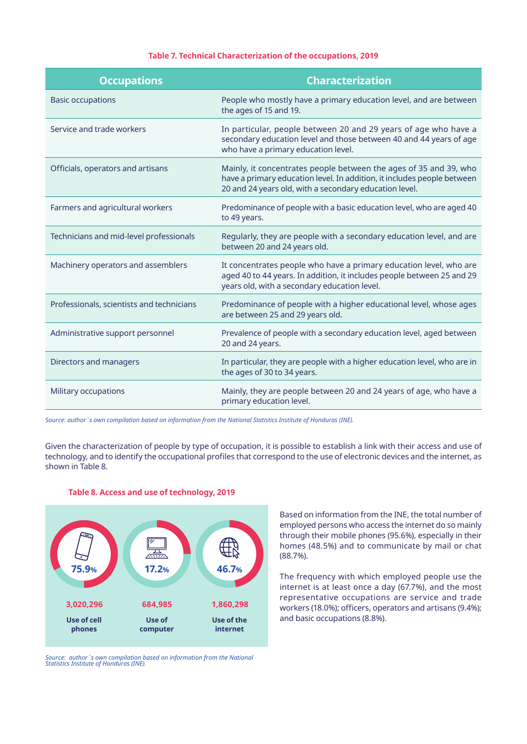#### **Table 7. Technical Characterization of the occupations, 2019**

| <b>Occupations</b>                        | <b>Characterization</b>                                                                                                                                                                                |
|-------------------------------------------|--------------------------------------------------------------------------------------------------------------------------------------------------------------------------------------------------------|
| <b>Basic occupations</b>                  | People who mostly have a primary education level, and are between<br>the ages of 15 and 19.                                                                                                            |
| Service and trade workers                 | In particular, people between 20 and 29 years of age who have a<br>secondary education level and those between 40 and 44 years of age<br>who have a primary education level.                           |
| Officials, operators and artisans         | Mainly, it concentrates people between the ages of 35 and 39, who<br>have a primary education level. In addition, it includes people between<br>20 and 24 years old, with a secondary education level. |
| Farmers and agricultural workers          | Predominance of people with a basic education level, who are aged 40<br>to 49 years.                                                                                                                   |
| Technicians and mid-level professionals   | Regularly, they are people with a secondary education level, and are<br>between 20 and 24 years old.                                                                                                   |
| Machinery operators and assemblers        | It concentrates people who have a primary education level, who are<br>aged 40 to 44 years. In addition, it includes people between 25 and 29<br>years old, with a secondary education level.           |
| Professionals, scientists and technicians | Predominance of people with a higher educational level, whose ages<br>are between 25 and 29 years old.                                                                                                 |
| Administrative support personnel          | Prevalence of people with a secondary education level, aged between<br>20 and 24 years.                                                                                                                |
| Directors and managers                    | In particular, they are people with a higher education level, who are in<br>the ages of 30 to 34 years.                                                                                                |
| Military occupations                      | Mainly, they are people between 20 and 24 years of age, who have a<br>primary education level.                                                                                                         |

*Source: author´s own compilation based on information from the National Statistics Institute of Honduras (INE).*

Given the characterization of people by type of occupation, it is possible to establish a link with their access and use of technology, and to identify the occupational profiles that correspond to the use of electronic devices and the internet, as shown in Table 8.



#### **Table 8. Access and use of technology, 2019**

*Source: author´s own compilation based on information from the National Statistics Institute of Honduras (INE).*

Based on information from the INE, the total number of employed persons who access the internet do so mainly through their mobile phones (95.6%), especially in their homes (48.5%) and to communicate by mail or chat (88.7%).

The frequency with which employed people use the internet is at least once a day (67.7%), and the most representative occupations are service and trade workers (18.0%); officers, operators and artisans (9.4%);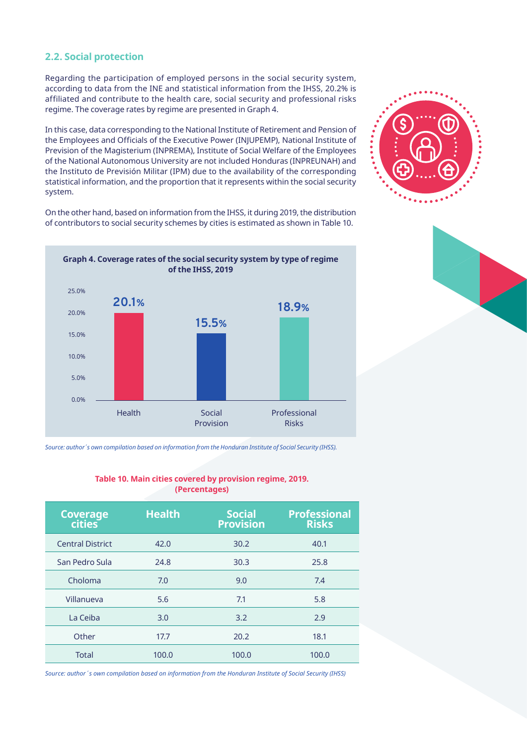### **2.2. Social protection**

Regarding the participation of employed persons in the social security system, according to data from the INE and statistical information from the IHSS, 20.2% is affiliated and contribute to the health care, social security and professional risks regime. The coverage rates by regime are presented in Graph 4.

In this case, data corresponding to the National Institute of Retirement and Pension of the Employees and Officials of the Executive Power (INJUPEMP), National Institute of Prevision of the Magisterium (INPREMA), Institute of Social Welfare of the Employees of the National Autonomous University are not included Honduras (INPREUNAH) and the Instituto de Previsión Militar (IPM) due to the availability of the corresponding statistical information, and the proportion that it represents within the social security system.



On the other hand, based on information from the IHSS, it during 2019, the distribution of contributors to social security schemes by cities is estimated as shown in Table 10.



*Source: author´s own compilation based on information from the Honduran Institute of Social Security (IHSS).*

# **Coverage cities Health Social Provision Professional Risks** Central District 42.0 30.2 40.1 San Pedro Sula 24.8 30.3 25.8 Choloma 7.0 9.0 7.4 Villanueva 5.6 7.1 5.8 La Ceiba 3.0 3.2 2.9 Other 17.7 20.2 18.1 Total 100.0 100.0 100.0 100.0

**Table 10. Main cities covered by provision regime, 2019. (Percentages)**

*Source: author´s own compilation based on information from the Honduran Institute of Social Security (IHSS)*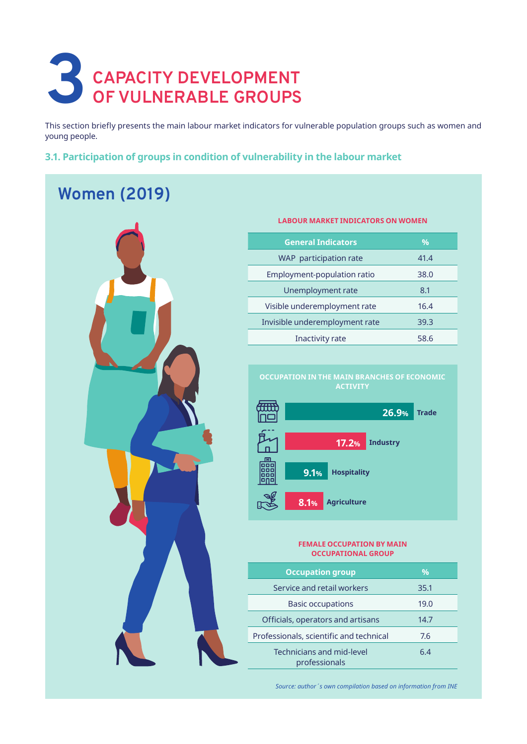# **3** CAPACITY DEVELOPMENT OF VULNERABLE GROUPS **OF VULNERABLE GROUPS**

This section briefly presents the main labour market indicators for vulnerable population groups such as women and young people.

### **3.1. Participation of groups in condition of vulnerability in the labour market**

# **Women (2019)**



# **General Indicators %** WAP participation rate 41.4 Employment-population ratio 38.0 Unemployment rate 8.1 Visible underemployment rate 16.4 Invisible underemployment rate 39.3 Inactivity rate 58.6

**LABOUR MARKET INDICATORS ON WOMEN**





#### **FEMALE OCCUPATION BY MAIN OCCUPATIONAL GROUP**

| <b>Occupation group</b>                    | %    |
|--------------------------------------------|------|
| Service and retail workers                 | 35.1 |
| <b>Basic occupations</b>                   | 19.0 |
| Officials, operators and artisans          | 14.7 |
| Professionals, scientific and technical    | 7.6  |
| Technicians and mid-level<br>professionals | 64   |

*Source: author´s own compilation based on information from INE*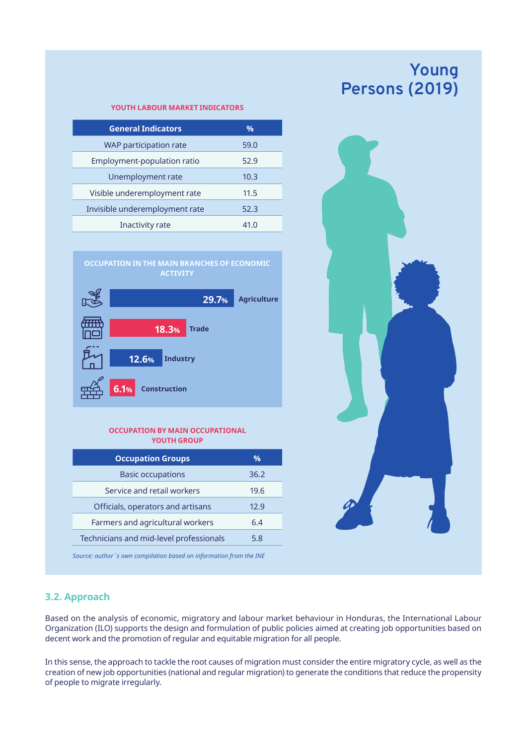# **Young Persons (2019)**

#### **YOUTH LABOUR MARKET INDICATORS**

| <b>General Indicators</b>      | $\frac{0}{0}$ |  |
|--------------------------------|---------------|--|
| WAP participation rate         | 59.0          |  |
| Employment-population ratio    | 52.9          |  |
| Unemployment rate              | 10.3          |  |
| Visible underemployment rate   | 11.5          |  |
| Invisible underemployment rate | 52.3          |  |
| Inactivity rate                | 41.0          |  |
|                                |               |  |



#### **OCCUPATION BY MAIN OCCUPATIONAL YOUTH GROUP**

| <b>Occupation Groups</b>                | $\%$ |
|-----------------------------------------|------|
| <b>Basic occupations</b>                | 36.2 |
| Service and retail workers              | 19.6 |
| Officials, operators and artisans       | 12.9 |
| Farmers and agricultural workers        | 6.4  |
| Technicians and mid-level professionals | 5.8  |
|                                         |      |

*Source: author´s own compilation based on information from the INE*



### **3.2. Approach**

Based on the analysis of economic, migratory and labour market behaviour in Honduras, the International Labour Organization (ILO) supports the design and formulation of public policies aimed at creating job opportunities based on decent work and the promotion of regular and equitable migration for all people.

In this sense, the approach to tackle the root causes of migration must consider the entire migratory cycle, as well as the creation of new job opportunities (national and regular migration) to generate the conditions that reduce the propensity of people to migrate irregularly.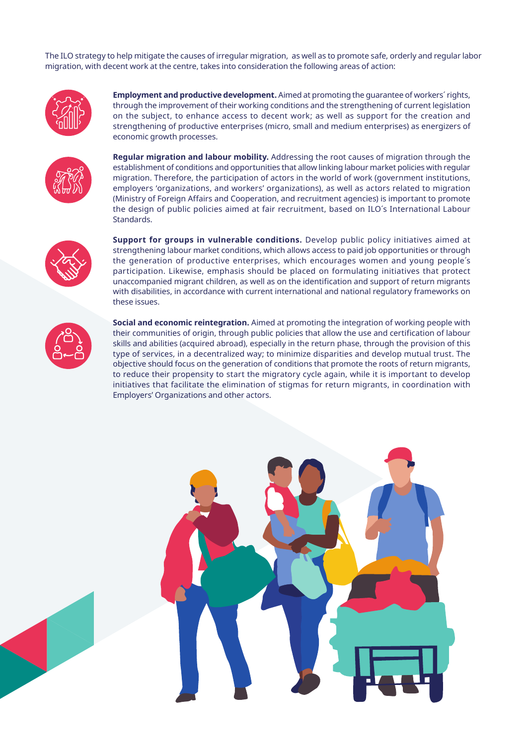The ILO strategy to help mitigate the causes of irregular migration, as well as to promote safe, orderly and regular labor migration, with decent work at the centre, takes into consideration the following areas of action:



**Employment and productive development.** Aimed at promoting the guarantee of workers´ rights, through the improvement of their working conditions and the strengthening of current legislation on the subject, to enhance access to decent work; as well as support for the creation and strengthening of productive enterprises (micro, small and medium enterprises) as energizers of economic growth processes.



**Regular migration and labour mobility.** Addressing the root causes of migration through the establishment of conditions and opportunities that allow linking labour market policies with regular migration. Therefore, the participation of actors in the world of work (government institutions, employers 'organizations, and workers' organizations), as well as actors related to migration (Ministry of Foreign Affairs and Cooperation, and recruitment agencies) is important to promote the design of public policies aimed at fair recruitment, based on ILO´s International Labour Standards.



**Support for groups in vulnerable conditions.** Develop public policy initiatives aimed at strengthening labour market conditions, which allows access to paid job opportunities or through the generation of productive enterprises, which encourages women and young people´s participation. Likewise, emphasis should be placed on formulating initiatives that protect unaccompanied migrant children, as well as on the identification and support of return migrants with disabilities, in accordance with current international and national regulatory frameworks on these issues.

**Social and economic reintegration.** Aimed at promoting the integration of working people with their communities of origin, through public policies that allow the use and certification of labour skills and abilities (acquired abroad), especially in the return phase, through the provision of this type of services, in a decentralized way; to minimize disparities and develop mutual trust. The objective should focus on the generation of conditions that promote the roots of return migrants, to reduce their propensity to start the migratory cycle again, while it is important to develop initiatives that facilitate the elimination of stigmas for return migrants, in coordination with Employers' Organizations and other actors.

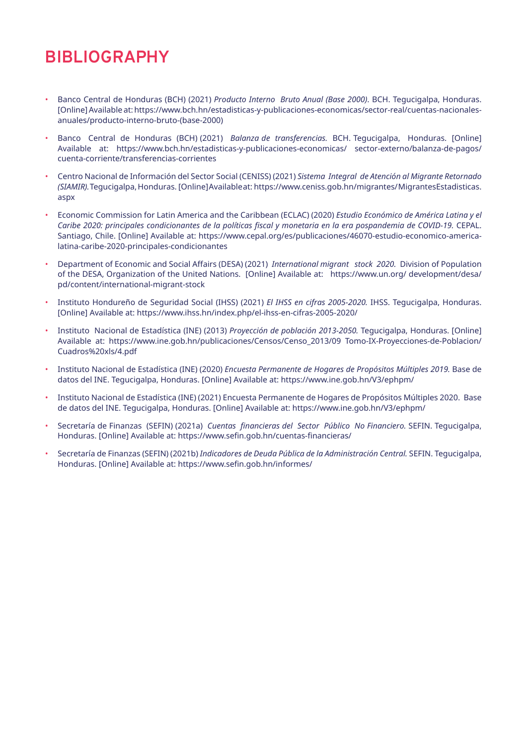# **BIBLIOGRAPHY**

- Banco Central de Honduras (BCH) (2021) *Producto Interno Bruto Anual (Base 2000)*. BCH. Tegucigalpa, Honduras. [Online] Available at: https://www.bch.hn/estadisticas-y-publicaciones-economicas/sector-real/cuentas-nacionalesanuales/producto-interno-bruto-(base-2000)
- Banco Central de Honduras (BCH) (2021) *Balanza de transferencias.* BCH. Tegucigalpa, Honduras. [Online] Available at: https://www.bch.hn/estadisticas-y-publicaciones-economicas/ sector-externo/balanza-de-pagos/ cuenta-corriente/transferencias-corrientes
- Centro Nacional de Información del Sector Social (CENISS) (2021) *Sistema Integral de Atención al Migrante Retornado (SIAMIR).* Tegucigalpa, Honduras. [Online] Available at: https://www.ceniss.gob.hn/migrantes/ MigrantesEstadisticas. aspx
- Economic Commission for Latin America and the Caribbean (ECLAC) (2020) *Estudio Económico de América Latina y el*  Caribe 2020: principales condicionantes de la políticas fiscal y monetaria en la era pospandemia de COVID-19. CEPAL. Santiago, Chile. [Online] Available at: https://www.cepal.org/es/publicaciones/46070-estudio-economico-americalatina-caribe-2020-principales-condicionantes
- Department of Economic and Social Affairs (DESA) (2021) *International migrant stock 2020.* Division of Population of the DESA, Organization of the United Nations. [Online] Available at: https://www.un.org/ development/desa/ pd/content/international-migrant-stock
- Instituto Hondureño de Seguridad Social (IHSS) (2021) *El IHSS en cifras 2005-2020.* IHSS. Tegucigalpa, Honduras. [Online] Available at: https://www.ihss.hn/index.php/el-ihss-en-cifras-2005-2020/
- Instituto Nacional de Estadística (INE) (2013) *Proyección de población 2013-2050.* Tegucigalpa, Honduras. [Online] Available at: https://www.ine.gob.hn/publicaciones/Censos/Censo\_2013/09 Tomo-IX-Proyecciones-de-Poblacion/ Cuadros%20xls/4.pdf
- Instituto Nacional de Estadística (INE) (2020) *Encuesta Permanente de Hogares de Propósitos Múltiples 2019.* Base de datos del INE. Tegucigalpa, Honduras. [Online] Available at: https://www.ine.gob.hn/V3/ephpm/
- Instituto Nacional de Estadística (INE) (2021) Encuesta Permanente de Hogares de Propósitos Múltiples 2020. Base de datos del INE. Tegucigalpa, Honduras. [Online] Available at: https://www.ine.gob.hn/V3/ephpm/
- Secretaría de Finanzas (SEFIN) (2021a) *Cuentas financieras del Sector Público No Financiero.* SEFIN. Tegucigalpa, Honduras. [Online] Available at: https://www.sefin.gob.hn/cuentas-financieras/
- Secretaría de Finanzas (SEFIN) (2021b) *Indicadores de Deuda Pública de la Administración Central.* SEFIN. Tegucigalpa, Honduras. [Online] Available at: https://www.sefin.gob.hn/informes/